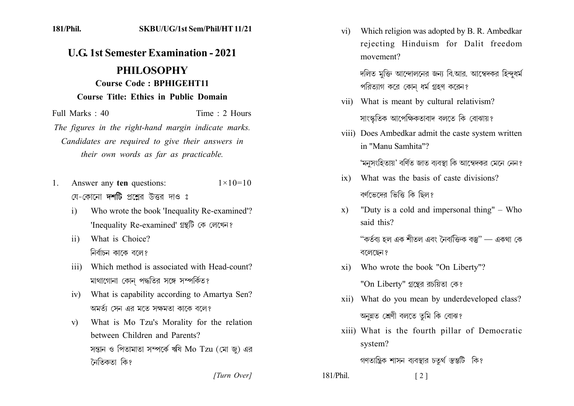## **U.G. 1st Semester Examination - 2021**

## **PHILOSOPHY Course Code: BPHIGEHT11**

## **Course Title: Ethics in Public Domain**

Full Marks  $\cdot$  40 Time  $\cdot$  2 Hours The figures in the right-hand margin indicate marks. Candidates are required to give their answers in their own words as far as practicable.

- Answer any ten questions:  $1 \times 10 = 10$ 1. য়ে-কোনো **দশটি** প্রশ্রের উত্তর দাও ঃ
	- $i)$ Who wrote the book 'Inequality Re-examined'? 'Inequality Re-examined' গ্ৰন্থটি কে লেখেন?
	- What is Choice?  $\mathbf{ii}$ নিৰ্বাচন কাকে বলে?
	- Which method is associated with Head-count?  $\overline{111}$ মাথাগোনা কোন পদ্ধতির সঙ্গে সম্পর্কিত?
	- What is capability according to Amartya Sen?  $iv)$ অমর্তা সেন এর মতে সক্ষমতা কাকে বলে?
	- What is Mo Tzu's Morality for the relation  $V$ ) between Children and Parents? সন্তান ও পিতামাতা সম্পর্কে ঋষি Mo Tzu (মো জ) এর নৈতিকতা কি?

Which religion was adopted by B. R. Ambedkar  $\overline{vi}$ rejecting Hinduism for Dalit freedom movement?

দলিত মক্তি আন্দোলনের জন্য বি.আর. আম্বেদকর হিন্দধর্ম পরিত্যাগ করে কোন ধর্ম গ্রহণ করেন?

- vii) What is meant by cultural relativism? সাংস্কৃতিক আপেক্ষিকতাবাদ বলতে কি বোঝায়?
- viii) Does Ambedkar admit the caste system written in "Manu Samhita"?

'মনুসংহিতায়' বৰ্ণিত জাত ব্যবস্থা কি আম্বেদকর মেনে নেন?

- ix) What was the basis of caste divisions? বর্ণভেদের ভিত্তি কি ছিল?
- "Duty is a cold and impersonal thing" Who  $\mathbf{x}$ ) said this?

"কৰ্তব্য হল এক শীতল এবং নৈৰ্ব্যক্তিক বস্ত্ৰ" — একথা কে বলেছেন ?

xi) Who wrote the book "On Liberty"?

"On Liberty" গ্রন্থের রচয়িতা কে?

- xii) What do you mean by underdeveloped class? অনুন্নত শ্রেণী বলতে তুমি কি বোঝ?
- xiii) What is the fourth pillar of Democratic system?

গণতান্ত্রিক শাসন ব্যবস্থার চতুর্থ স্তম্ভটি কি?

 $\lceil 2 \rceil$ 

[Turn Over]

 $181/P$ hil.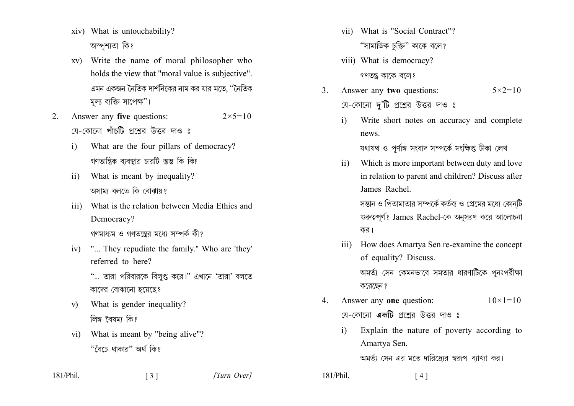- xiv) What is untouchability? অস্পশ্যতা কি?
- xv) Write the name of moral philosopher who holds the view that "moral value is subjective". এমন একজন নৈতিক দার্শনিকের নাম কর যার মতে, ''নৈতিক মল্য ব্যক্তি সাপেক্ষ"।
- Answer any five questions:  $2 \times 5 = 10$ 2. য়ে-কোনো **পাঁচটি** প্রশ্নের উত্তর দাও ঃ
	- $\mathbf{i}$ What are the four pillars of democracy? গণতান্ত্রিক ব্যবস্থার চারটি স্তম্ভ কি কি?
	- What is meant by inequality?  $\rm ii)$ অসামা বলতে কি বোঝায়?
	- What is the relation between Media Ethics and  $\overline{\text{iii}}$ Democracy?

গণমাধাম ও গণতন্ত্রের মধ্যে সম্পর্ক কী?

iv) "... They repudiate the family." Who are 'they' referred to here? "... তারা পরিবারকে বিলপ্ত করে।" এখানে 'তারা' বলতে

কাদের বোঝানো হয়েছে?

- What is gender inequality?  $\mathbf{v}$ লিঙ্গ বৈষমা কি?
- What is meant by "being alive"?  $\overline{vi}$ "বৈচে থাকার" অর্থ কি?

 $\begin{bmatrix} 3 \end{bmatrix}$ 

- vii) What is "Social Contract"? "সামাজিক চক্তি" কাকে বলে?
- viii) What is democracy? গণতন্ত্র কাকে বলে?
- Answer any two questions:  $\mathcal{Z}$  $5 \times 2 = 10$ যে-কোনো দু'টি প্রশ্নের উত্তর দাও ঃ
	- $\mathbf{i}$ Write short notes on accuracy and complete news.

যথাযথ ও পূর্ণাঙ্গ সংবাদ সম্পর্কে সংক্ষিপ্ত টীকা লেখ।

Which is more important between duty and love  $\overline{11}$ in relation to parent and children? Discuss after James Rachel

> সন্তান ও পিতামাতার সম্পর্কে কর্তব্য ও প্রেমের মধ্যে কোনটি গুরুত্বপূর্ণ? James Rachel-কে অনুসরণ করে আলোচনা কর।

iii) How does Amartya Sen re-examine the concept of equality? Discuss.

অমর্ত্য সেন কেমনভাবে সমতার ধারণাটিকে পনঃপরীক্ষা করেছেন ?

Answer any one question:  $10 \times 1 = 10$ 4. য়ে–কোনো **একটি** প্রশ্নের উত্তর দাও ঃ

 $[4]$ 

 $\mathbf{i}$ Explain the nature of poverty according to Amartya Sen.

অমর্তা সেন এর মতে দারিদ্রোর স্বরূপ ব্যাখ্যা কর।

 $181/P$ hil.